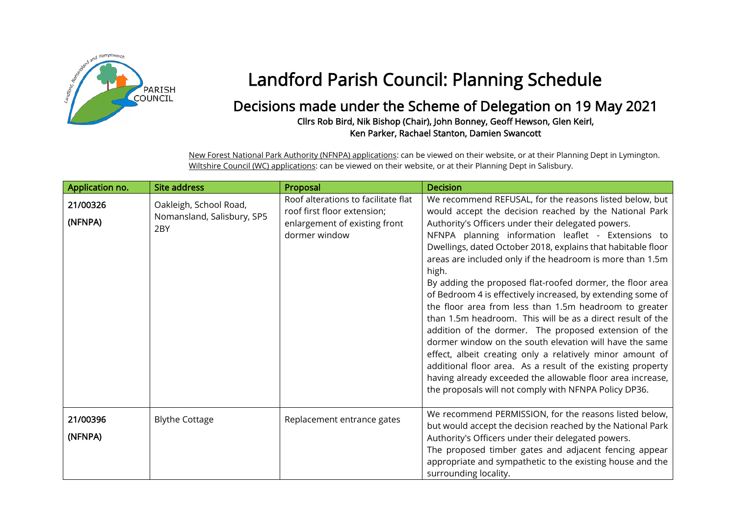

## Landford Parish Council: Planning Schedule

## Decisions made under the Scheme of Delegation on 19 May 2021 Cllrs Rob Bird, Nik Bishop (Chair), John Bonney, Geoff Hewson, Glen Keirl, Ken Parker, Rachael Stanton, Damien Swancott

New Forest National Park Authority (NFNPA) applications: can be viewed on their website, or at their Planning Dept in Lymington. Wiltshire Council (WC) applications: can be viewed on their website, or at their Planning Dept in Salisbury.

| Application no.     | <b>Site address</b>                                         | Proposal                                                                                                             | <b>Decision</b>                                                                                                                                                                                                                                                                                                                                                                                                                                                                                                                                                                                                                                                                                                                                                                                                                                                                                                                                                                                |
|---------------------|-------------------------------------------------------------|----------------------------------------------------------------------------------------------------------------------|------------------------------------------------------------------------------------------------------------------------------------------------------------------------------------------------------------------------------------------------------------------------------------------------------------------------------------------------------------------------------------------------------------------------------------------------------------------------------------------------------------------------------------------------------------------------------------------------------------------------------------------------------------------------------------------------------------------------------------------------------------------------------------------------------------------------------------------------------------------------------------------------------------------------------------------------------------------------------------------------|
| 21/00326<br>(NFNPA) | Oakleigh, School Road,<br>Nomansland, Salisbury, SP5<br>2BY | Roof alterations to facilitate flat<br>roof first floor extension;<br>enlargement of existing front<br>dormer window | We recommend REFUSAL, for the reasons listed below, but<br>would accept the decision reached by the National Park<br>Authority's Officers under their delegated powers.<br>NFNPA planning information leaflet - Extensions to<br>Dwellings, dated October 2018, explains that habitable floor<br>areas are included only if the headroom is more than 1.5m<br>high.<br>By adding the proposed flat-roofed dormer, the floor area<br>of Bedroom 4 is effectively increased, by extending some of<br>the floor area from less than 1.5m headroom to greater<br>than 1.5m headroom. This will be as a direct result of the<br>addition of the dormer. The proposed extension of the<br>dormer window on the south elevation will have the same<br>effect, albeit creating only a relatively minor amount of<br>additional floor area. As a result of the existing property<br>having already exceeded the allowable floor area increase,<br>the proposals will not comply with NFNPA Policy DP36. |
| 21/00396<br>(NFNPA) | <b>Blythe Cottage</b>                                       | Replacement entrance gates                                                                                           | We recommend PERMISSION, for the reasons listed below,<br>but would accept the decision reached by the National Park<br>Authority's Officers under their delegated powers.<br>The proposed timber gates and adjacent fencing appear<br>appropriate and sympathetic to the existing house and the<br>surrounding locality.                                                                                                                                                                                                                                                                                                                                                                                                                                                                                                                                                                                                                                                                      |